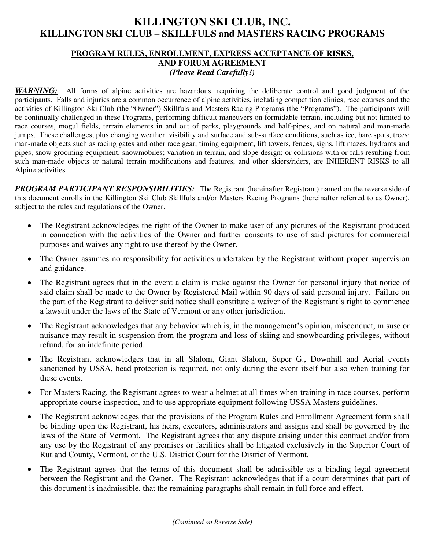## **KILLINGTON SKI CLUB, INC. KILLINGTON SKI CLUB – SKILLFULS and MASTERS RACING PROGRAMS**

## **PROGRAM RULES, ENROLLMENT, EXPRESS ACCEPTANCE OF RISKS, AND FORUM AGREEMENT**  *(Please Read Carefully!)*

*WARNING:* All forms of alpine activities are hazardous, requiring the deliberate control and good judgment of the participants. Falls and injuries are a common occurrence of alpine activities, including competition clinics, race courses and the activities of Killington Ski Club (the "Owner") Skillfuls and Masters Racing Programs (the "Programs"). The participants will be continually challenged in these Programs, performing difficult maneuvers on formidable terrain, including but not limited to race courses, mogul fields, terrain elements in and out of parks, playgrounds and half-pipes, and on natural and man-made jumps. These challenges, plus changing weather, visibility and surface and sub-surface conditions, such as ice, bare spots, trees; man-made objects such as racing gates and other race gear, timing equipment, lift towers, fences, signs, lift mazes, hydrants and pipes, snow grooming equipment, snowmobiles; variation in terrain, and slope design; or collisions with or falls resulting from such man-made objects or natural terrain modifications and features, and other skiers/riders, are INHERENT RISKS to all Alpine activities

**PROGRAM PARTICIPANT RESPONSIBILITIES:** The Registrant (hereinafter Registrant) named on the reverse side of this document enrolls in the Killington Ski Club Skillfuls and/or Masters Racing Programs (hereinafter referred to as Owner), subject to the rules and regulations of the Owner.

- The Registrant acknowledges the right of the Owner to make user of any pictures of the Registrant produced in connection with the activities of the Owner and further consents to use of said pictures for commercial purposes and waives any right to use thereof by the Owner.
- The Owner assumes no responsibility for activities undertaken by the Registrant without proper supervision and guidance.
- The Registrant agrees that in the event a claim is make against the Owner for personal injury that notice of said claim shall be made to the Owner by Registered Mail within 90 days of said personal injury. Failure on the part of the Registrant to deliver said notice shall constitute a waiver of the Registrant's right to commence a lawsuit under the laws of the State of Vermont or any other jurisdiction.
- The Registrant acknowledges that any behavior which is, in the management's opinion, misconduct, misuse or nuisance may result in suspension from the program and loss of skiing and snowboarding privileges, without refund, for an indefinite period.
- The Registrant acknowledges that in all Slalom, Giant Slalom, Super G., Downhill and Aerial events sanctioned by USSA, head protection is required, not only during the event itself but also when training for these events.
- For Masters Racing, the Registrant agrees to wear a helmet at all times when training in race courses, perform appropriate course inspection, and to use appropriate equipment following USSA Masters guidelines.
- The Registrant acknowledges that the provisions of the Program Rules and Enrollment Agreement form shall be binding upon the Registrant, his heirs, executors, administrators and assigns and shall be governed by the laws of the State of Vermont. The Registrant agrees that any dispute arising under this contract and/or from any use by the Registrant of any premises or facilities shall be litigated exclusively in the Superior Court of Rutland County, Vermont, or the U.S. District Court for the District of Vermont.
- The Registrant agrees that the terms of this document shall be admissible as a binding legal agreement between the Registrant and the Owner. The Registrant acknowledges that if a court determines that part of this document is inadmissible, that the remaining paragraphs shall remain in full force and effect.